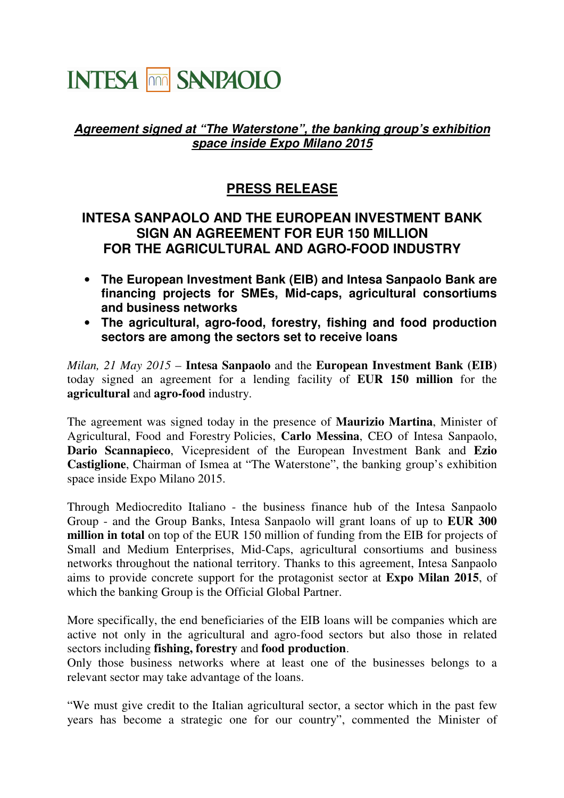## **INTESA THE SANPAOLO**

## **Agreement signed at "The Waterstone", the banking group's exhibition space inside Expo Milano 2015**

## **PRESS RELEASE**

## **INTESA SANPAOLO AND THE EUROPEAN INVESTMENT BANK SIGN AN AGREEMENT FOR EUR 150 MILLION FOR THE AGRICULTURAL AND AGRO-FOOD INDUSTRY**

- **The European Investment Bank (EIB) and Intesa Sanpaolo Bank are financing projects for SMEs, Mid-caps, agricultural consortiums and business networks**
- **The agricultural, agro-food, forestry, fishing and food production sectors are among the sectors set to receive loans**

*Milan, 21 May 2015* – **Intesa Sanpaolo** and the **European Investment Bank (EIB)**  today signed an agreement for a lending facility of **EUR 150 million** for the **agricultural** and **agro-food** industry.

The agreement was signed today in the presence of **Maurizio Martina**, Minister of Agricultural, Food and Forestry Policies, **Carlo Messina**, CEO of Intesa Sanpaolo, **Dario Scannapieco**, Vicepresident of the European Investment Bank and **Ezio Castiglione**, Chairman of Ismea at "The Waterstone", the banking group's exhibition space inside Expo Milano 2015.

Through Mediocredito Italiano - the business finance hub of the Intesa Sanpaolo Group - and the Group Banks, Intesa Sanpaolo will grant loans of up to **EUR 300 million in total** on top of the EUR 150 million of funding from the EIB for projects of Small and Medium Enterprises, Mid-Caps, agricultural consortiums and business networks throughout the national territory. Thanks to this agreement, Intesa Sanpaolo aims to provide concrete support for the protagonist sector at **Expo Milan 2015**, of which the banking Group is the Official Global Partner.

More specifically, the end beneficiaries of the EIB loans will be companies which are active not only in the agricultural and agro-food sectors but also those in related sectors including **fishing, forestry** and **food production**.

Only those business networks where at least one of the businesses belongs to a relevant sector may take advantage of the loans.

"We must give credit to the Italian agricultural sector, a sector which in the past few years has become a strategic one for our country", commented the Minister of